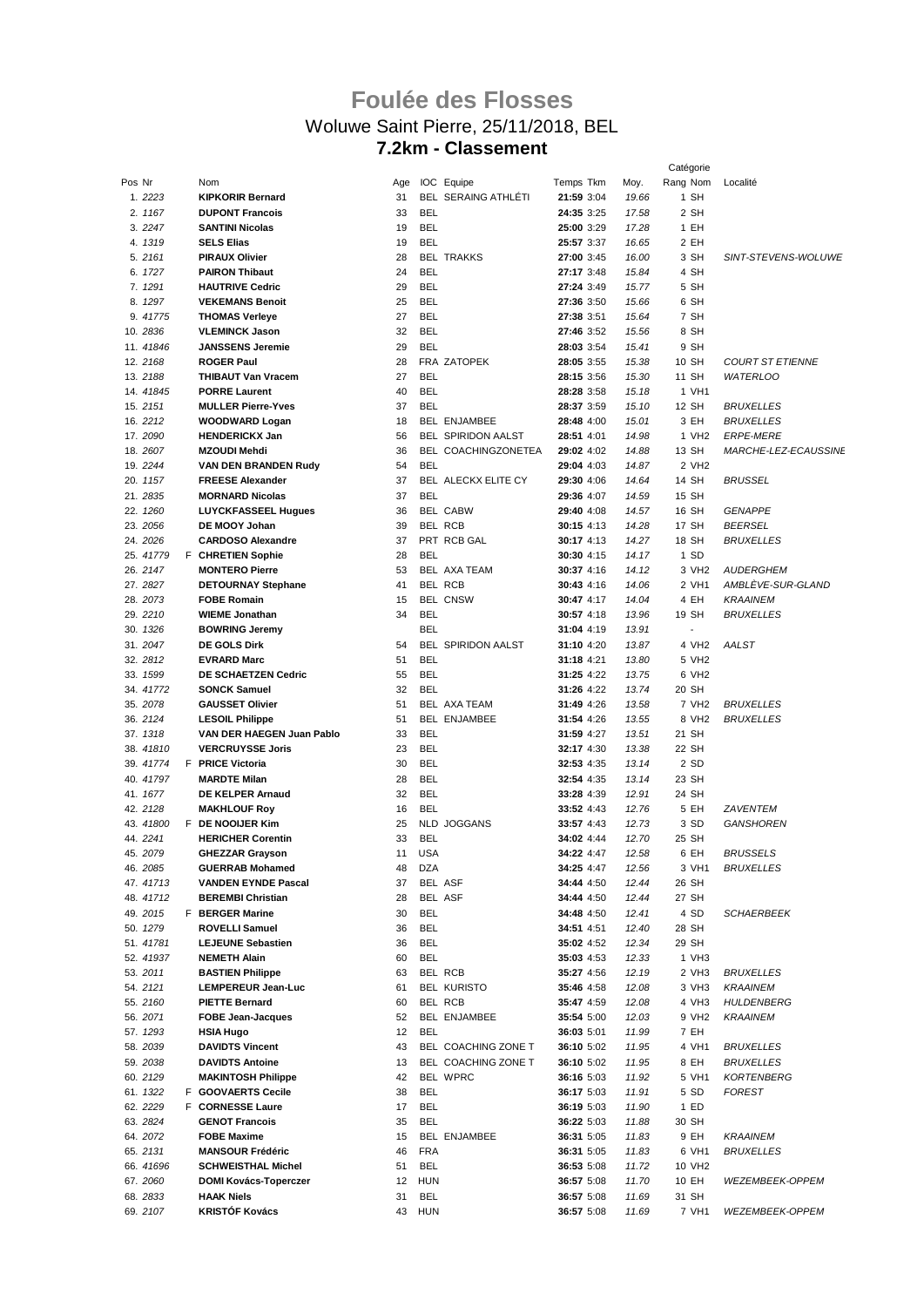## **Foulée des Flosses** Woluwe Saint Pierre, 25/11/2018, BEL **7.2km - Classement**

|        |                       |                                                   |          |                       |                            |                          |                | Catégorie          |                         |
|--------|-----------------------|---------------------------------------------------|----------|-----------------------|----------------------------|--------------------------|----------------|--------------------|-------------------------|
| Pos Nr |                       | Nom                                               | Age      |                       | IOC Equipe                 | Temps Tkm                | Moy.           | Rang Nom           | Localité                |
|        | 1.2223                | <b>KIPKORIR Bernard</b>                           | 31       |                       | <b>BEL SERAING ATHLETI</b> | 21:59 3:04               | 19.66          | 1 SH               |                         |
|        | 2. 1167               | <b>DUPONT Francois</b>                            | 33       | <b>BEL</b>            |                            | 24:35 3:25               | 17.58          | 2 SH               |                         |
|        | 3. 2247               | <b>SANTINI Nicolas</b>                            | 19       | <b>BEL</b>            |                            | 25:00 3:29               | 17.28          | 1 EH               |                         |
|        | 4. 1319               | <b>SELS Elias</b>                                 | 19       | <b>BEL</b>            |                            | 25:57 3:37               | 16.65          | 2 EH               |                         |
|        | 5.2161                | <b>PIRAUX Olivier</b>                             | 28       |                       | <b>BEL TRAKKS</b>          | 27:00 3:45               | 16.00          | 3 SH               | SINT-STEVENS-WOLUWE     |
|        | 6. 1727               | <b>PAIRON Thibaut</b>                             | 24       | <b>BEL</b>            |                            | 27:17 3:48               | 15.84          | 4 SH               |                         |
|        | 7. 1291               | <b>HAUTRIVE Cedric</b>                            | 29       | <b>BEL</b>            |                            | 27:24 3:49               | 15.77          | 5 SH               |                         |
|        | 8. 1297               | <b>VEKEMANS Benoit</b>                            | 25       | <b>BEL</b>            |                            | 27:36 3:50               | 15.66          | 6 SH               |                         |
|        | 9.41775               | <b>THOMAS Verleye</b>                             | 27       | <b>BEL</b>            |                            | 27:38 3:51               | 15.64          | 7 SH               |                         |
|        | 10.2836               | <b>VLEMINCK Jason</b>                             | 32       | <b>BEL</b>            |                            | 27:46 3:52               | 15.56          | 8 SH               |                         |
|        | 11.41846              | <b>JANSSENS Jeremie</b>                           | 29       | <b>BEL</b>            |                            | 28:03 3:54               | 15.41          | 9 SH               |                         |
|        | 12.2168               | <b>ROGER Paul</b>                                 | 28       |                       | FRA ZATOPEK                | 28:05 3:55               | 15.38          | 10 SH              | <b>COURT ST ETIENNE</b> |
|        | 13.2188               | <b>THIBAUT Van Vracem</b>                         | 27       | <b>BEL</b>            |                            | 28:15 3:56               | 15.30          | 11 SH              | <b>WATERLOO</b>         |
|        | 14.41845              | <b>PORRE Laurent</b>                              | 40       | <b>BEL</b>            |                            | 28:28 3:58               | 15.18          | 1 VH1              |                         |
|        | 15. 2151              | <b>MULLER Pierre-Yves</b>                         | 37       | <b>BEL</b>            |                            | 28:37 3:59               | 15.10          | 12 SH              | <b>BRUXELLES</b>        |
|        | 16. 2212              | <b>WOODWARD Logan</b>                             | 18       |                       | <b>BEL ENJAMBEE</b>        | 28:48 4:00               | 15.01          | 3 EH               | <b>BRUXELLES</b>        |
|        | 17.2090               | <b>HENDERICKX Jan</b>                             | 56       |                       | <b>BEL SPIRIDON AALST</b>  | 28:51 4:01               | 14.98          | 1 VH <sub>2</sub>  | <b>ERPE-MERE</b>        |
|        | 18.2607               | <b>MZOUDI Mehdi</b>                               | 36       |                       | BEL COACHINGZONETEA        | 29:02 4:02               | 14.88          | 13 SH              | MARCHE-LEZ-ECAUSSINE    |
|        | 19. 2244              | VAN DEN BRANDEN Rudy                              | 54       | <b>BEL</b>            |                            | 29:04 4:03               | 14.87          | 2 VH <sub>2</sub>  |                         |
|        | 20. 1157              | <b>FREESE Alexander</b>                           | 37       |                       | BEL ALECKX ELITE CY        | 29:30 4:06               | 14.64          | 14 SH              | <b>BRUSSEL</b>          |
|        | 21. 2835              | <b>MORNARD Nicolas</b>                            | 37       | <b>BEL</b>            |                            | 29:36 4:07               | 14.59          | 15 SH              |                         |
|        | 22. 1260              | <b>LUYCKFASSEEL Hugues</b>                        | 36       |                       | <b>BEL CABW</b>            | 29:40 4:08               | 14.57          | 16 SH              | <b>GENAPPE</b>          |
|        | 23. 2056              | DE MOOY Johan<br><b>CARDOSO Alexandre</b>         | 39       | BEL RCB               |                            | 30:15 4:13               | 14.28          | 17 SH              | <b>BEERSEL</b>          |
|        | 24. 2026<br>25.41779  |                                                   | 37       | <b>BEL</b>            | PRT RCB GAL                | 30:17 4:13               | 14.27<br>14.17 | 18 SH<br>1 SD      | <b>BRUXELLES</b>        |
|        | 26. 2147              | <b>F</b> CHRETIEN Sophie<br><b>MONTERO Pierre</b> | 28<br>53 |                       | <b>BEL AXA TEAM</b>        | 30:30 4:15<br>30:37 4:16 | 14.12          | 3 VH <sub>2</sub>  | <b>AUDERGHEM</b>        |
|        | 27.2827               | <b>DETOURNAY Stephane</b>                         | 41       | BEL RCB               |                            | 30:43 4:16               | 14.06          | 2 VH1              | AMBLÉVE-SUR-GLAND       |
|        | 28.2073               | <b>FOBE Romain</b>                                | 15       |                       | <b>BEL CNSW</b>            | 30:47 4:17               | 14.04          | 4 EH               | <b>KRAAINEM</b>         |
|        | 29.2210               | <b>WIEME Jonathan</b>                             | 34       | <b>BEL</b>            |                            | 30:57 4:18               | 13.96          | 19 SH              | <b>BRUXELLES</b>        |
|        | 30. 1326              | <b>BOWRING Jeremy</b>                             |          | BEL                   |                            | 31:04 4:19               | 13.91          |                    |                         |
|        | 31. 2047              | DE GOLS Dirk                                      | 54       |                       | <b>BEL SPIRIDON AALST</b>  | 31:10 4:20               | 13.87          | 4 VH2              | AALST                   |
|        | 32. 2812              | <b>EVRARD Marc</b>                                | 51       | <b>BEL</b>            |                            | 31:18 4:21               | 13.80          | 5 VH <sub>2</sub>  |                         |
|        | 33. 1599              | <b>DE SCHAETZEN Cedric</b>                        | 55       | <b>BEL</b>            |                            | 31:25 4:22               | 13.75          | 6 VH2              |                         |
|        | 34. 41772             | <b>SONCK Samuel</b>                               | 32       | <b>BEL</b>            |                            | 31:26 4:22               | 13.74          | 20 SH              |                         |
|        | 35.2078               | <b>GAUSSET Olivier</b>                            | 51       |                       | BEL AXA TEAM               | 31:49 4:26               | 13.58          | 7 VH <sub>2</sub>  | <b>BRUXELLES</b>        |
|        | 36. 2124              | <b>LESOIL Philippe</b>                            | 51       |                       | <b>BEL ENJAMBEE</b>        | 31:54 4:26               | 13.55          | 8 VH <sub>2</sub>  | <b>BRUXELLES</b>        |
|        | 37. 1318              | VAN DER HAEGEN Juan Pablo                         | 33       | <b>BEL</b>            |                            | 31:59 4:27               | 13.51          | 21 SH              |                         |
|        | 38.41810              | <b>VERCRUYSSE Joris</b>                           | 23       | BEL                   |                            | 32:17 4:30               | 13.38          | 22 SH              |                         |
|        | 39. 41774             | <b>F</b> PRICE Victoria                           | 30       | BEL                   |                            | 32:53 4:35               | 13.14          | 2 SD               |                         |
|        | 40. 41797             | <b>MARDTE Milan</b>                               | 28       | <b>BEL</b>            |                            | 32:54 4:35               | 13.14          | 23 SH              |                         |
|        | 41. 1677              | DE KELPER Arnaud                                  | 32       | BEL                   |                            | 33:28 4:39               | 12.91          | 24 SH              |                         |
|        | 42.2128               | <b>MAKHLOUF Roy</b>                               | 16       | BEL                   |                            | 33:52 4:43               | 12.76          | 5 EH               | ZAVENTEM                |
|        | 43.41800              | F DE NOOIJER Kim                                  | 25       |                       | NLD JOGGANS                | 33:57 4:43               | 12.73          | 3 SD               | GANSHOREN               |
|        | 44.2241               | <b>HERICHER Corentin</b>                          | 33       | <b>BEL</b>            |                            | 34:02 4:44               | 12.70          | 25 SH              |                         |
|        | 45. 2079              | <b>GHEZZAR Grayson</b>                            | 11       | USA                   |                            | <b>34:22</b> 4:47        | 12.58          | 6 EH               | <b>BRUSSELS</b>         |
|        | 46. 2085              | <b>GUERRAB Mohamed</b>                            | 48       | DZA                   |                            | 34:25 4:47               | 12.56          | 3 VH1              | <b>BRUXELLES</b>        |
|        | 47. 41713             | <b>VANDEN EYNDE Pascal</b>                        | 37       | BEL ASF               |                            | 34:44 4:50               | 12.44          | 26 SH              |                         |
|        | 48. 41712<br>49. 2015 | <b>BEREMBI Christian</b><br>F BERGER Marine       | 28<br>30 | BEL ASF<br><b>BEL</b> |                            | 34:44 4:50<br>34:48 4:50 | 12.44<br>12.41 | 27 SH<br>4 SD      | <b>SCHAERBEEK</b>       |
|        | 50. 1279              | <b>ROVELLI Samuel</b>                             | 36       | BEL                   |                            |                          | 12.40          | 28 SH              |                         |
|        | 51.41781              | <b>LEJEUNE Sebastien</b>                          | 36       | BEL                   |                            | 34:51 4:51<br>35:02 4:52 | 12.34          | 29 SH              |                         |
|        | 52. 41937             | <b>NEMETH Alain</b>                               | 60       | BEL                   |                            | 35:03 4:53               | 12.33          | 1 VH3              |                         |
|        | 53. 2011              | <b>BASTIEN Philippe</b>                           | 63       |                       | BEL RCB                    | 35:27 4:56               | 12.19          | 2 VH3              | <b>BRUXELLES</b>        |
|        | 54.2121               | <b>LEMPEREUR Jean-Luc</b>                         | 61       |                       | <b>BEL KURISTO</b>         | 35:46 4:58               | 12.08          | 3 VH3              | KRAAINEM                |
|        | 55.2160               | <b>PIETTE Bernard</b>                             | 60       |                       | BEL RCB                    | 35:47 4:59               | 12.08          | 4 VH3              | HULDENBERG              |
|        | 56. 2071              | <b>FOBE Jean-Jacques</b>                          | 52       |                       | BEL ENJAMBEE               | 35:54 5:00               | 12.03          | 9 VH2              | <b>KRAAINEM</b>         |
|        | 57. 1293              | <b>HSIA Hugo</b>                                  | 12       | BEL                   |                            | 36:03 5:01               | 11.99          | 7 EH               |                         |
|        | 58.2039               | <b>DAVIDTS Vincent</b>                            | 43       |                       | BEL COACHING ZONE T        | 36:10 5:02               | 11.95          | 4 VH1              | <i>BRUXELLES</i>        |
|        | 59.2038               | <b>DAVIDTS Antoine</b>                            | 13       |                       | BEL COACHING ZONE T        | 36:10 5:02               | 11.95          | 8 EH               | <i>BRUXELLES</i>        |
|        | 60.2129               | <b>MAKINTOSH Philippe</b>                         | 42       |                       | BEL WPRC                   | 36:16 5:03               | 11.92          | 5 VH1              | <b>KORTENBERG</b>       |
|        | 61. 1322              | F GOOVAERTS Cecile                                | 38       | <b>BEL</b>            |                            | 36:17 5:03               | 11.91          | 5 SD               | FOREST                  |
|        | 62.2229               | F CORNESSE Laure                                  | 17       | BEL                   |                            | 36:19 5:03               | 11.90          | 1 ED               |                         |
|        | 63.2824               | <b>GENOT Francois</b>                             | 35       | BEL                   |                            | 36:22 5:03               | 11.88          | 30 SH              |                         |
|        | 64.2072               | <b>FOBE Maxime</b>                                | 15       |                       | BEL ENJAMBEE               | 36:31 5:05               | 11.83          | 9 EH               | <b>KRAAINEM</b>         |
|        | 65.2131               | <b>MANSOUR Frédéric</b>                           | 46       | <b>FRA</b>            |                            | 36:31 5:05               | 11.83          | 6 VH1              | <b>BRUXELLES</b>        |
|        | 66. 41696             | <b>SCHWEISTHAL Michel</b>                         | 51       | <b>BEL</b>            |                            | 36:53 5:08               | 11.72          | 10 VH <sub>2</sub> |                         |
|        | 67.2060               | <b>DOMI Kovács-Toperczer</b>                      | 12       | <b>HUN</b>            |                            | 36:57 5:08               | 11.70          | 10 EH              | WEZEMBEEK-OPPEM         |
|        | 68.2833               | <b>HAAK Niels</b>                                 | 31       | BEL                   |                            | 36:57 5:08               | 11.69          | 31 SH              |                         |
|        | 69.2107               | <b>KRISTÓF Kovács</b>                             | 43       | <b>HUN</b>            |                            | 36:57 5:08               | 11.69          | 7 VH1              | WEZEMBEEK-OPPEM         |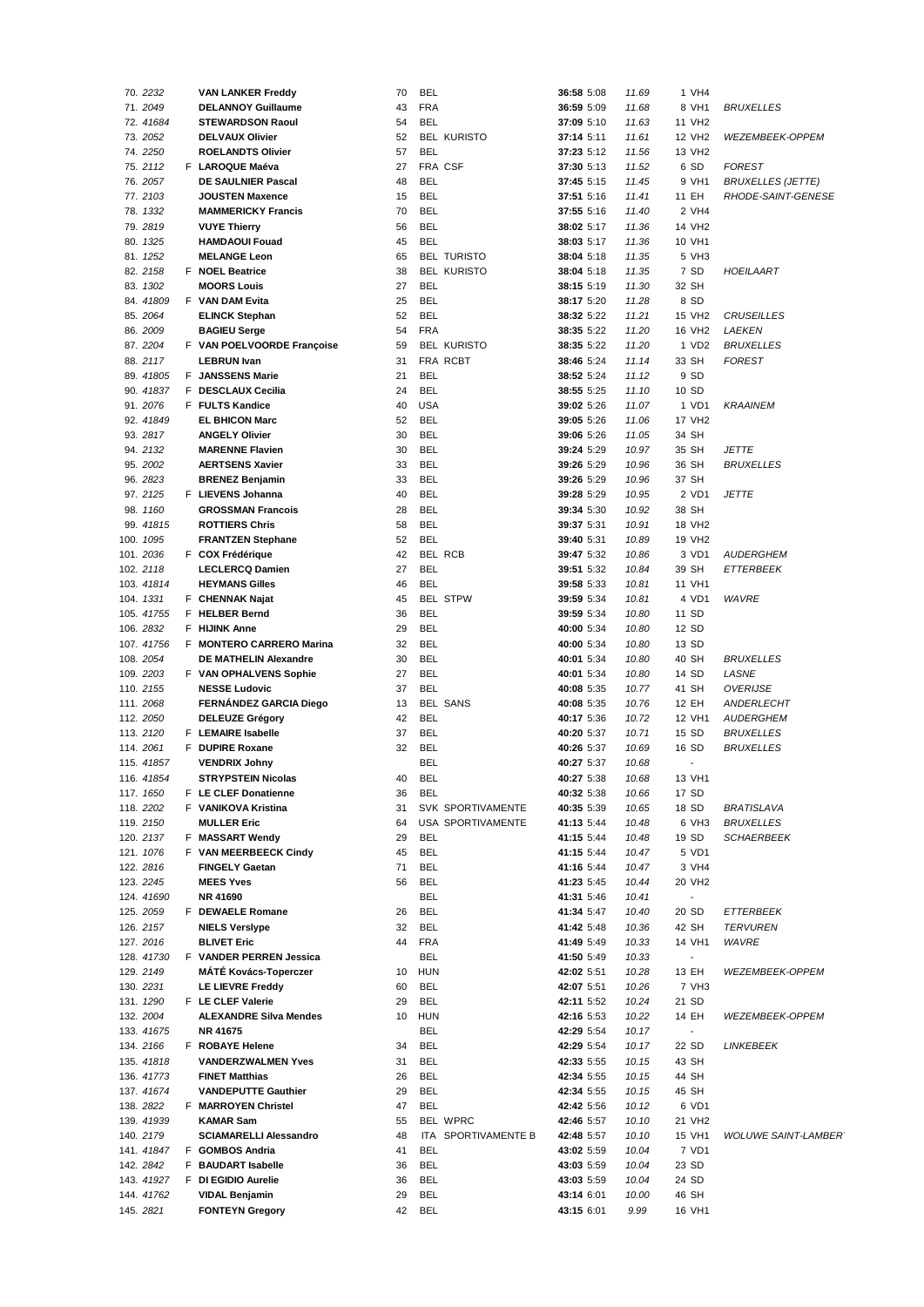| 70. 2232         | VAN LANKER Freddy             | 70 | BEL        |                          | 36:58 5:08        | 11.69 | 1 VH4                    |                            |
|------------------|-------------------------------|----|------------|--------------------------|-------------------|-------|--------------------------|----------------------------|
| 71.2049          | <b>DELANNOY Guillaume</b>     | 43 | <b>FRA</b> |                          | 36:59 5:09        | 11.68 | 8 VH1                    | <b>BRUXELLES</b>           |
| 72.41684         | <b>STEWARDSON Raoul</b>       | 54 | BEL        |                          | 37:09 5:10        | 11.63 | 11 VH2                   |                            |
| 73. 2052         | <b>DELVAUX Olivier</b>        | 52 |            | <b>BEL KURISTO</b>       | 37:14 5:11        | 11.61 | 12 VH <sub>2</sub>       | WEZEMBEEK-OPPEM            |
| 74.2250          | <b>ROELANDTS Olivier</b>      | 57 | <b>BEL</b> |                          | 37:23 5:12        | 11.56 | 13 VH2                   |                            |
| 75.2112          | F LAROQUE Maéva               | 27 | FRA CSF    |                          |                   | 11.52 | 6 SD                     | <b>FOREST</b>              |
|                  |                               |    |            |                          | 37:30 5:13        |       |                          |                            |
| 76. 2057         | DE SAULNIER Pascal            | 48 | <b>BEL</b> |                          | 37:45 5:15        | 11.45 | 9 VH1                    | <b>BRUXELLES (JETTE)</b>   |
| 77.2103          | <b>JOUSTEN Maxence</b>        | 15 | <b>BEL</b> |                          | 37:51 5:16        | 11.41 | 11 EH                    | RHODE-SAINT-GENESE         |
| 78. 1332         | <b>MAMMERICKY Francis</b>     | 70 | BEL        |                          | 37:55 5:16        | 11.40 | 2 VH4                    |                            |
| 79.2819          | <b>VUYE Thierry</b>           | 56 | <b>BEL</b> |                          | 38:02 5:17        | 11.36 | 14 VH2                   |                            |
| 80. 1325         | <b>HAMDAOUI Fouad</b>         | 45 | BEL        |                          | 38:03 5:17        | 11.36 | 10 VH1                   |                            |
| 81. 1252         | <b>MELANGE Leon</b>           | 65 |            | <b>BEL TURISTO</b>       | 38:04 5:18        | 11.35 | 5 VH3                    |                            |
| 82. 2158         | F NOEL Beatrice               | 38 |            | <b>BEL KURISTO</b>       | 38:04 5:18        | 11.35 | 7 SD                     | HOEILAART                  |
| 83. 1302         | <b>MOORS Louis</b>            | 27 | BEL        |                          | 38:15 5:19        | 11.30 | 32 SH                    |                            |
| 84.41809         |                               |    | <b>BEL</b> |                          | 38:17 5:20        | 11.28 | 8 SD                     |                            |
|                  | F VAN DAM Evita               | 25 |            |                          |                   |       |                          |                            |
| 85.2064          | <b>ELINCK Stephan</b>         | 52 | BEL        |                          | 38:32 5:22        | 11.21 | 15 VH <sub>2</sub>       | <b>CRUSEILLES</b>          |
| 86.2009          | <b>BAGIEU Serge</b>           | 54 | <b>FRA</b> |                          | 38:35 5:22        | 11.20 | 16 VH2                   | LAEKEN                     |
| 87.2204          | F VAN POELVOORDE Françoise    | 59 |            | <b>BEL KURISTO</b>       | 38:35 5:22        | 11.20 | 1 VD2                    | <b>BRUXELLES</b>           |
| 88.2117          | <b>LEBRUN Ivan</b>            | 31 |            | FRA RCBT                 | 38:46 5:24        | 11.14 | 33 SH                    | <b>FOREST</b>              |
| 89. 41805        | F JANSSENS Marie              | 21 | BEL        |                          | 38:52 5:24        | 11.12 | 9 SD                     |                            |
| 90. 41837        | F DESCLAUX Cecilia            | 24 | BEL        |                          | 38:55 5:25        | 11.10 | 10 SD                    |                            |
| 91. 2076         | F FULTS Kandice               | 40 | <b>USA</b> |                          | 39:02 5:26        | 11.07 | 1 VD1                    | <b>KRAAINEM</b>            |
| 92. 41849        | <b>EL BHICON Marc</b>         | 52 | <b>BEL</b> |                          | 39:05 5:26        | 11.06 | 17 VH <sub>2</sub>       |                            |
|                  |                               |    |            |                          |                   |       |                          |                            |
| 93.2817          | <b>ANGELY Olivier</b>         | 30 | BEL        |                          | 39:06 5:26        | 11.05 | 34 SH                    |                            |
| 94. 2132         | <b>MARENNE Flavien</b>        | 30 | <b>BEL</b> |                          | 39:24 5:29        | 10.97 | 35 SH                    | <i><b>JETTE</b></i>        |
| 95.2002          | <b>AERTSENS Xavier</b>        | 33 | <b>BEL</b> |                          | 39:26 5:29        | 10.96 | 36 SH                    | <b>BRUXELLES</b>           |
| 96.2823          | <b>BRENEZ Benjamin</b>        | 33 | <b>BEL</b> |                          | 39:26 5:29        | 10.96 | 37 SH                    |                            |
| 97.2125          | F LIEVENS Johanna             | 40 | <b>BEL</b> |                          | 39:28 5:29        | 10.95 | 2 VD1                    | <b>JETTE</b>               |
| 98. 1160         | <b>GROSSMAN Francois</b>      | 28 | BEL        |                          | 39:34 5:30        | 10.92 | 38 SH                    |                            |
| 99. 41815        | <b>ROTTIERS Chris</b>         | 58 | <b>BEL</b> |                          | 39:37 5:31        | 10.91 | 18 VH <sub>2</sub>       |                            |
| 100. <i>1095</i> | <b>FRANTZEN Stephane</b>      | 52 | <b>BEL</b> |                          | <b>39:40</b> 5:31 | 10.89 | 19 VH <sub>2</sub>       |                            |
|                  |                               |    |            |                          |                   |       |                          |                            |
| 101. 2036        | F COX Frédérique              | 42 |            | BEL RCB                  | 39:47 5:32        | 10.86 | 3 VD1                    | AUDERGHEM                  |
| 102. 2118        | <b>LECLERCQ Damien</b>        | 27 | BEL        |                          | 39:51 5:32        | 10.84 | 39 SH                    | ETTERBEEK                  |
| 103. 41814       | <b>HEYMANS Gilles</b>         | 46 | BEL        |                          | 39:58 5:33        | 10.81 | 11 VH1                   |                            |
| 104. 1331        | F CHENNAK Najat               | 45 |            | <b>BEL STPW</b>          | 39:59 5:34        | 10.81 | 4 VD1                    | <b>WAVRE</b>               |
| 105. 41755       | F HELBER Bernd                | 36 | <b>BEL</b> |                          | 39:59 5:34        | 10.80 | 11 SD                    |                            |
| 106. 2832        | <b>F</b> HIJINK Anne          | 29 | <b>BEL</b> |                          | 40:00 5:34        | 10.80 | 12 SD                    |                            |
| 107. 41756       | F MONTERO CARRERO Marina      | 32 | BEL        |                          | 40:00 5:34        | 10.80 | 13 SD                    |                            |
| 108. 2054        | <b>DE MATHELIN Alexandre</b>  | 30 | BEL        |                          | 40:01 5:34        | 10.80 | 40 SH                    | <b>BRUXELLES</b>           |
| 109. 2203        |                               |    | <b>BEL</b> |                          |                   |       |                          |                            |
|                  | F VAN OPHALVENS Sophie        | 27 |            |                          | 40:01 5:34        | 10.80 | 14 SD                    | LASNE                      |
| 110. 2155        | <b>NESSE Ludovic</b>          | 37 | BEL        |                          | 40:08 5:35        | 10.77 | 41 SH                    | <b>OVERIJSE</b>            |
| 111. 2068        | <b>FERNÁNDEZ GARCIA Diego</b> | 13 |            | <b>BEL SANS</b>          | 40:08 5:35        | 10.76 | 12 EH                    | ANDERLECHT                 |
| 112. 2050        | <b>DELEUZE Grégory</b>        | 42 | BEL        |                          | <b>40:17</b> 5:36 | 10.72 | 12 VH1                   | AUDERGHEM                  |
| 113.2120         | <b>F</b> LEMAIRE Isabelle     | 37 | BEL        |                          | 40:20 5:37        | 10.71 | 15 SD                    | <b>BRUXELLES</b>           |
| 114. 2061        | F DUPIRE Roxane               | 32 | BEL        |                          | 40:26 5:37        | 10.69 | 16 SD                    | <b>BRUXELLES</b>           |
| 115. 41857       | <b>VENDRIX Johny</b>          |    | BEL        |                          | 40:27 5:37        | 10.68 |                          |                            |
| 116. 41854       | <b>STRYPSTEIN Nicolas</b>     | 40 | <b>BEL</b> |                          | 40:27 5:38        | 10.68 | 13 VH1                   |                            |
|                  | F LE CLEF Donatienne          | 36 | <b>BEL</b> |                          | 40:32 5:38        |       | 17 SD                    |                            |
| 117. 1650        |                               |    |            |                          |                   | 10.66 |                          |                            |
| 118.2202         | F VANIKOVA Kristina           | 31 |            | SVK SPORTIVAMENTE        | 40:35 5:39        | 10.65 | 18 SD                    | <b>BRATISLAVA</b>          |
| 119. 2150        | <b>MULLER Eric</b>            | 64 |            | <b>USA SPORTIVAMENTE</b> | 41:13 5:44        | 10.48 | 6 VH3                    | <b>BRUXELLES</b>           |
| 120. 2137        | F MASSART Wendy               | 29 | <b>BEL</b> |                          | 41:15 5:44        | 10.48 | 19 SD                    | <b>SCHAERBEEK</b>          |
| 121. 1076        | F VAN MEERBEECK Cindy         | 45 | BEL        |                          | 41:15 5:44        | 10.47 | 5 VD1                    |                            |
| 122. 2816        | <b>FINGELY Gaetan</b>         | 71 | BEL        |                          | 41:16 5:44        | 10.47 | 3 VH4                    |                            |
| 123. 2245        | <b>MEES Yves</b>              | 56 | BEL        |                          | 41:23 5:45        | 10.44 | 20 VH <sub>2</sub>       |                            |
| 124. 41690       | NR 41690                      |    | BEL        |                          | 41:31 5:46        | 10.41 | $\overline{\phantom{a}}$ |                            |
| 125. 2059        | F DEWAELE Romane              | 26 | BEL        |                          | 41:34 5:47        | 10.40 | 20 SD                    | ETTERBEEK                  |
| 126. 2157        |                               | 32 | BEL        |                          |                   | 10.36 | 42 SH                    |                            |
|                  | <b>NIELS Verslype</b>         |    |            |                          | 41:42 5:48        |       |                          | <b>TERVUREN</b>            |
| 127. 2016        | <b>BLIVET Eric</b>            | 44 | FRA        |                          | 41:49 5:49        | 10.33 | 14 VH1                   | <b>WAVRE</b>               |
| 128. 41730       | F VANDER PERREN Jessica       |    | BEL        |                          | 41:50 5:49        | 10.33 | $\blacksquare$           |                            |
| 129. 2149        | MÁTÉ Kovács-Toperczer         | 10 | <b>HUN</b> |                          | 42:02 5:51        | 10.28 | 13 EH                    | <b>WEZEMBEEK-OPPEM</b>     |
| 130. 2231        | <b>LE LIEVRE Freddy</b>       | 60 | BEL        |                          | 42:07 5:51        | 10.26 | 7 VH3                    |                            |
| 131. 1290        | F LE CLEF Valerie             | 29 | BEL        |                          | 42:11 5:52        | 10.24 | 21 SD                    |                            |
| 132. 2004        | <b>ALEXANDRE Silva Mendes</b> | 10 | <b>HUN</b> |                          | 42:16 5:53        | 10.22 | 14 EH                    | WEZEMBEEK-OPPEM            |
| 133. 41675       | NR 41675                      |    | BEL        |                          | 42:29 5:54        | 10.17 | $\blacksquare$           |                            |
| 134. 2166        | F ROBAYE Helene               | 34 | BEL        |                          | 42:29 5:54        | 10.17 | 22 SD                    | <b>LINKEBEEK</b>           |
|                  |                               |    |            |                          |                   |       |                          |                            |
| 135. 41818       | <b>VANDERZWALMEN Yves</b>     | 31 | <b>BEL</b> |                          | 42:33 5:55        | 10.15 | 43 SH                    |                            |
| 136. 41773       | <b>FINET Matthias</b>         | 26 | BEL        |                          | 42:34 5:55        | 10.15 | 44 SH                    |                            |
| 137. 41674       | <b>VANDEPUTTE Gauthier</b>    | 29 | BEL        |                          | 42:34 5:55        | 10.15 | 45 SH                    |                            |
| 138. 2822        | F MARROYEN Christel           | 47 | BEL        |                          | 42:42 5:56        | 10.12 | 6 VD1                    |                            |
| 139. 41939       | <b>KAMAR Sam</b>              | 55 |            | BEL WPRC                 | 42:46 5:57        | 10.10 | 21 VH <sub>2</sub>       |                            |
| 140. 2179        | <b>SCIAMARELLI Alessandro</b> | 48 |            | ITA SPORTIVAMENTE B      | 42:48 5:57        | 10.10 | 15 VH1                   | <b>WOLUWE SAINT-LAMBER</b> |
| 141. 41847       | F GOMBOS Andria               | 41 | BEL        |                          | 43:02 5:59        | 10.04 | 7 VD1                    |                            |
| 142. 2842        | F BAUDART Isabelle            | 36 | <b>BEL</b> |                          | 43:03 5:59        | 10.04 | 23 SD                    |                            |
|                  |                               |    |            |                          |                   |       |                          |                            |
| 143. 41927       | F DI EGIDIO Aurelie           | 36 | BEL        |                          | 43:03 5:59        | 10.04 | 24 SD                    |                            |
| 144. 41762       | <b>VIDAL Benjamin</b>         | 29 | BEL        |                          | 43:14 6:01        | 10.00 | 46 SH                    |                            |
| 145.2821         | <b>FONTEYN Gregory</b>        | 42 | BEL        |                          | 43:15 6:01        | 9.99  | 16 VH1                   |                            |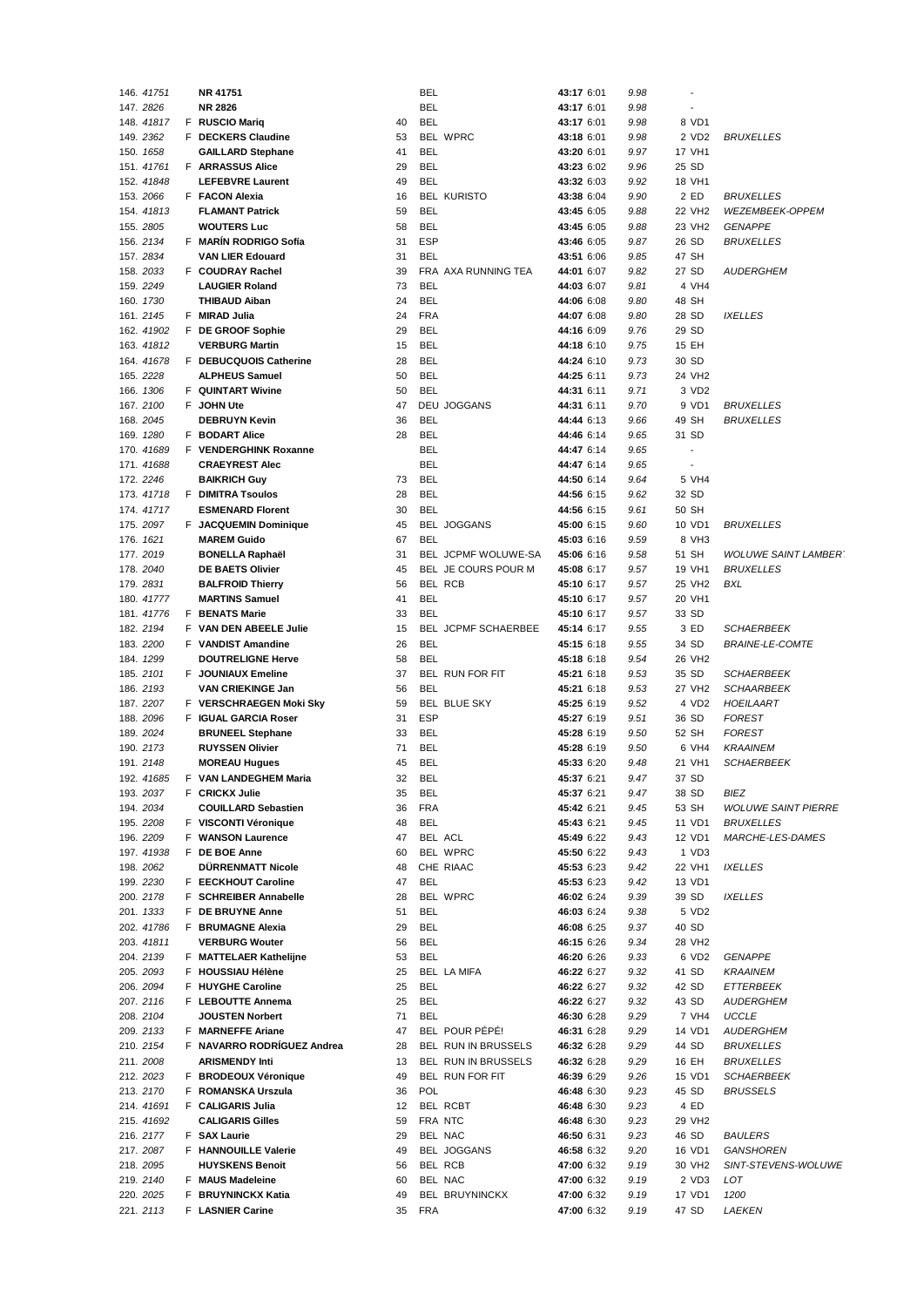| 146. 41751             | <b>NR 41751</b>                        |    | BEL        |                     | 43:17 6:01 | 9.98         |                          |                            |
|------------------------|----------------------------------------|----|------------|---------------------|------------|--------------|--------------------------|----------------------------|
| 147.2826               | <b>NR 2826</b>                         |    | BEL        |                     | 43:17 6:01 | 9.98         |                          |                            |
| 148. 41817             | F RUSCIO Mariq                         | 40 | <b>BEL</b> |                     | 43:17 6:01 | 9.98         | 8 VD1                    |                            |
| 149.2362               | F DECKERS Claudine                     | 53 |            | <b>BEL WPRC</b>     | 43:18 6:01 | 9.98         | 2 VD <sub>2</sub>        | <b>BRUXELLES</b>           |
| 150. 1658              | <b>GAILLARD Stephane</b>               | 41 | BEL        |                     | 43:20 6:01 | 9.97         | 17 VH1                   |                            |
| 151. 41761             | <b>F ARRASSUS Alice</b>                | 29 | BEL        |                     | 43:23 6:02 | 9.96         | 25 SD                    |                            |
| 152. 41848             | <b>LEFEBVRE Laurent</b>                | 49 | BEL        |                     | 43:32 6:03 | 9.92         | 18 VH1                   |                            |
| 153. 2066              | F FACON Alexia                         | 16 |            | <b>BEL KURISTO</b>  | 43:38 6:04 | 9.90         | 2 ED                     | <b>BRUXELLES</b>           |
| 154. 41813             | <b>FLAMANT Patrick</b>                 | 59 | <b>BEL</b> |                     | 43:45 6:05 | 9.88         | 22 VH <sub>2</sub>       | <b>WEZEMBEEK-OPPEM</b>     |
| 155. 2805              | <b>WOUTERS Luc</b>                     | 58 | <b>BEL</b> |                     | 43:45 6:05 | 9.88         | 23 VH <sub>2</sub>       | <b>GENAPPE</b>             |
| 156. 2134              | F MARÍN RODRIGO Sofía                  | 31 | <b>ESP</b> |                     | 43:46 6:05 | 9.87         | 26 SD                    | <b>BRUXELLES</b>           |
| 157.2834               | <b>VAN LIER Edouard</b>                | 31 | <b>BEL</b> |                     | 43:51 6:06 | 9.85         | 47 SH                    |                            |
| 158. 2033              | F COUDRAY Rachel                       | 39 |            | FRA AXA RUNNING TEA | 44:01 6:07 | 9.82         | 27 SD                    | <b>AUDERGHEM</b>           |
| 159. 2249              | <b>LAUGIER Roland</b>                  | 73 | <b>BEL</b> |                     | 44:03 6:07 | 9.81         | 4 VH4                    |                            |
| 160. 1730              | <b>THIBAUD Aiban</b>                   | 24 | <b>BEL</b> |                     | 44:06 6:08 | 9.80         | 48 SH                    |                            |
| 161. 2145              | F MIRAD Julia                          | 24 | <b>FRA</b> |                     | 44:07 6:08 | 9.80         | 28 SD                    | <b>IXELLES</b>             |
| 162. 41902             | F DE GROOF Sophie                      | 29 | <b>BEL</b> |                     | 44:16 6:09 | 9.76         | 29 SD                    |                            |
| 163. 41812             | <b>VERBURG Martin</b>                  | 15 | <b>BEL</b> |                     | 44:18 6:10 | 9.75         | 15 EH                    |                            |
| 164. 41678             | F DEBUCQUOIS Catherine                 | 28 | <b>BEL</b> |                     | 44:24 6:10 | 9.73         | 30 SD                    |                            |
| 165.2228               | <b>ALPHEUS Samuel</b>                  | 50 | <b>BEL</b> |                     | 44:25 6:11 | 9.73         | 24 VH <sub>2</sub>       |                            |
| 166. 1306              | <b>F</b> QUINTART Wivine               | 50 | BEL        |                     | 44:31 6:11 | 9.71         | 3 VD <sub>2</sub>        |                            |
| 167.2100               | F JOHN Ute                             | 47 |            | DEU JOGGANS         | 44:31 6:11 | 9.70         | 9 VD1                    | <b>BRUXELLES</b>           |
| 168. 2045              | <b>DEBRUYN Kevin</b>                   | 36 | <b>BEL</b> |                     | 44:44 6:13 | 9.66         | 49 SH                    | <b>BRUXELLES</b>           |
| 169. 1280              | F BODART Alice                         | 28 | <b>BEL</b> |                     | 44:46 6:14 | 9.65         | 31 SD                    |                            |
| 170. 41689             | F VENDERGHINK Roxanne                  |    | BEL        |                     | 44:47 6:14 | 9.65         | $\overline{\phantom{a}}$ |                            |
| 171. 41688             | <b>CRAEYREST Alec</b>                  |    | BEL        |                     | 44:47 6:14 | 9.65         | $\overline{a}$           |                            |
| 172. 2246              | <b>BAIKRICH Guy</b>                    | 73 | <b>BEL</b> |                     | 44:50 6:14 | 9.64         | 5 VH4                    |                            |
| 173. 41718             | <b>F</b> DIMITRA Tsoulos               | 28 | <b>BEL</b> |                     | 44:56 6:15 | 9.62         | 32 SD                    |                            |
| 174. 41717             | <b>ESMENARD Florent</b>                | 30 | <b>BEL</b> |                     | 44:56 6:15 | 9.61         | 50 SH                    |                            |
| 175. 2097              | F JACQUEMIN Dominique                  | 45 |            | BEL JOGGANS         | 45:00 6:15 | 9.60         | 10 VD1                   | <b>BRUXELLES</b>           |
| 176. 1621              | <b>MAREM Guido</b>                     | 67 | <b>BEL</b> |                     | 45:03 6:16 | 9.59         | 8 VH3                    |                            |
| 177.2019               | <b>BONELLA Raphaël</b>                 | 31 |            | BEL JCPMF WOLUWE-SA | 45:06 6:16 | 9.58         | 51 SH                    | <b>WOLUWE SAINT LAMBER</b> |
| 178. 2040              | <b>DE BAETS Olivier</b>                | 45 |            | BEL JE COURS POUR M | 45:08 6:17 | 9.57         | 19 VH1                   | <b>BRUXELLES</b>           |
| 179. 2831              | <b>BALFROID Thierry</b>                | 56 | BEL RCB    |                     | 45:10 6:17 | 9.57         | 25 VH2                   | BXL                        |
| 180. 41777             | <b>MARTINS Samuel</b>                  | 41 | BEL        |                     | 45:10 6:17 | 9.57         | 20 VH1                   |                            |
| 181. 41776             | <b>F</b> BENATS Marie                  | 33 | BEL        |                     | 45:10 6:17 | 9.57         | 33 SD                    |                            |
| 182. 2194              | F VAN DEN ABEELE Julie                 | 15 |            | BEL JCPMF SCHAERBEE | 45:14 6:17 | 9.55         | 3 ED                     | <b>SCHAERBEEK</b>          |
| 183.2200               | F VANDIST Amandine                     | 26 | <b>BEL</b> |                     | 45:15 6:18 | 9.55         | 34 SD                    | <b>BRAINE-LE-COMTE</b>     |
| 184. 1299              | <b>DOUTRELIGNE Herve</b>               | 58 | <b>BEL</b> |                     | 45:18 6:18 | 9.54         | 26 VH <sub>2</sub>       |                            |
| 185. 2101              | F JOUNIAUX Emeline                     | 37 |            | BEL RUN FOR FIT     | 45:21 6:18 | 9.53         | 35 SD                    | <b>SCHAERBEEK</b>          |
| 186. 2193              | <b>VAN CRIEKINGE Jan</b>               | 56 | <b>BEL</b> |                     | 45:21 6:18 | 9.53         | 27 VH <sub>2</sub>       | <b>SCHAARBEEK</b>          |
| 187. 2207              | F VERSCHRAEGEN Moki Sky                | 59 |            | BEL BLUE SKY        | 45:25 6:19 | 9.52         | 4 VD2                    | HOEILAART                  |
| 188. 2096              | F IGUAL GARCIA Roser                   | 31 | <b>ESP</b> |                     | 45:27 6:19 | 9.51         | 36 SD                    | <b>FOREST</b>              |
| 189. 2024              | <b>BRUNEEL Stephane</b>                | 33 | BEL        |                     | 45:28 6:19 | 9.50         | 52 SH                    | <b>FOREST</b>              |
| 190. 2173              | <b>RUYSSEN Olivier</b>                 | 71 | BEL        |                     | 45:28 6:19 | 9.50         | 6 VH4                    | <b>KRAAINEM</b>            |
| 191. 2148              | <b>MOREAU Hugues</b>                   | 45 | <b>BEL</b> |                     | 45:33 6:20 | 9.48         | 21 VH1                   | <b>SCHAERBEEK</b>          |
| 192. 41685             | F VAN LANDEGHEM Maria                  | 32 | BEL        |                     | 45:37 6:21 | 9.47         | 37 SD                    |                            |
| 193. 2037              | F CRICKX Julie                         | 35 | BEL        |                     | 45:37 6:21 | 9.47         | 38 SD                    | BIEZ                       |
| 194. 2034              | <b>COUILLARD Sebastien</b>             | 36 | <b>FRA</b> |                     | 45:42 6:21 | 9.45         | 53 SH                    | <b>WOLUWE SAINT PIERRE</b> |
| 195. 2208              | F VISCONTI Véronique                   | 48 | BEL        |                     | 45:43 6:21 | 9.45         | 11 VD1                   | <b>BRUXELLES</b>           |
| 196. 2209              | <b>F</b> WANSON Laurence               | 47 | BEL ACL    |                     | 45:49 6:22 | 9.43         | 12 VD1                   | MARCHE-LES-DAMES           |
| 197. 41938             | F DE BOE Anne                          | 60 |            | BEL WPRC            | 45:50 6:22 | 9.43         | 1 VD3                    |                            |
| 198. 2062              | DÜRRENMATT Nicole                      | 48 |            | CHE RIAAC           | 45:53 6:23 | 9.42         | 22 VH1                   | <b>IXELLES</b>             |
| 199. 2230              | F EECKHOUT Caroline                    | 47 | <b>BEL</b> |                     | 45:53 6:23 | 9.42         | 13 VD1                   |                            |
| 200. 2178              | F SCHREIBER Annabelle                  | 28 |            | BEL WPRC            | 46:02 6:24 | 9.39         | 39 SD                    | <b>IXELLES</b>             |
| 201. 1333              | F DE BRUYNE Anne                       | 51 | <b>BEL</b> |                     | 46:03 6:24 | 9.38         | 5 VD2                    |                            |
| 202. 41786             | F BRUMAGNE Alexia                      | 29 | BEL        |                     | 46:08 6:25 | 9.37         | 40 SD                    |                            |
| 203. 41811             | <b>VERBURG Wouter</b>                  | 56 | BEL        |                     | 46:15 6:26 | 9.34         | 28 VH <sub>2</sub>       |                            |
| 204. 2139              | F MATTELAER Kathelijne                 | 53 | BEL        |                     | 46:20 6:26 | 9.33         | 6 VD2                    | <b>GENAPPE</b>             |
| 205. 2093              | F HOUSSIAU Hélène                      | 25 |            | BEL LA MIFA         | 46:22 6:27 | 9.32         | 41 SD                    | <b>KRAAINEM</b>            |
| 206. 2094              | F HUYGHE Caroline                      | 25 | <b>BEL</b> |                     | 46:22 6:27 | 9.32         | 42 SD                    | ETTERBEEK                  |
| 207. 2116              | F LEBOUTTE Annema                      | 25 | BEL        |                     | 46:22 6:27 | 9.32         | 43 SD                    | <b>AUDERGHEM</b>           |
| 208. 2104              | <b>JOUSTEN Norbert</b>                 | 71 | <b>BEL</b> |                     | 46:30 6:28 | 9.29         | 7 VH4                    | <b>UCCLE</b>               |
| 209. 2133              | F MARNEFFE Ariane                      | 47 |            | BEL POUR PÉPÉ!      | 46:31 6:28 | 9.29         | 14 VD1                   | <b>AUDERGHEM</b>           |
| 210. 2154              | F NAVARRO RODRÍGUEZ Andrea             | 28 |            | BEL RUN IN BRUSSELS | 46:32 6:28 | 9.29         | 44 SD                    | <b>BRUXELLES</b>           |
| 211.2008               | <b>ARISMENDY Inti</b>                  | 13 |            | BEL RUN IN BRUSSELS | 46:32 6:28 | 9.29         | 16 EH                    | <b>BRUXELLES</b>           |
| 212. 2023              | F BRODEOUX Véronique                   | 49 |            | BEL RUN FOR FIT     | 46:39 6:29 | 9.26         | 15 VD1                   | <b>SCHAERBEEK</b>          |
| 213. 2 <i>170</i>      | F ROMANSKA Urszula                     | 36 | <b>POL</b> |                     | 46:48 6:30 | 9.23         | 45 SD                    | <b>BRUSSELS</b>            |
| 214. 41691             | F CALIGARIS Julia                      | 12 |            | BEL RCBT            | 46:48 6:30 | 9.23         | 4 ED                     |                            |
| 215. 41692             | <b>CALIGARIS Gilles</b>                | 59 | FRA NTC    |                     | 46:48 6:30 | 9.23         | 29 VH2                   |                            |
| 216. 2177              | F SAX Laurie                           | 29 | BEL NAC    |                     | 46:50 6:31 | 9.23         | 46 SD                    | <b>BAULERS</b>             |
| 217. 2087              | F HANNOUILLE Valerie                   | 49 |            | BEL JOGGANS         | 46:58 6:32 | 9.20         | 16 VD1                   | GANSHOREN                  |
| 218. 2095              | <b>HUYSKENS Benoit</b>                 | 56 | BEL RCB    |                     | 47:00 6:32 | 9.19         | 30 VH <sub>2</sub>       | SINT-STEVENS-WOLUWE        |
| 219. 2140<br>220. 2025 | F MAUS Madeleine                       | 60 | BEL NAC    |                     | 47:00 6:32 | 9.19         | 2 VD3                    | LOT                        |
| 221. 2113              | F BRUYNINCKX Katia<br>F LASNIER Carine | 49 |            | BEL BRUYNINCKX      | 47:00 6:32 | 9.19<br>9.19 | 17 VD1<br>47 SD          | 1200<br>LAEKEN             |
|                        |                                        | 35 | FRA        |                     | 47:00 6:32 |              |                          |                            |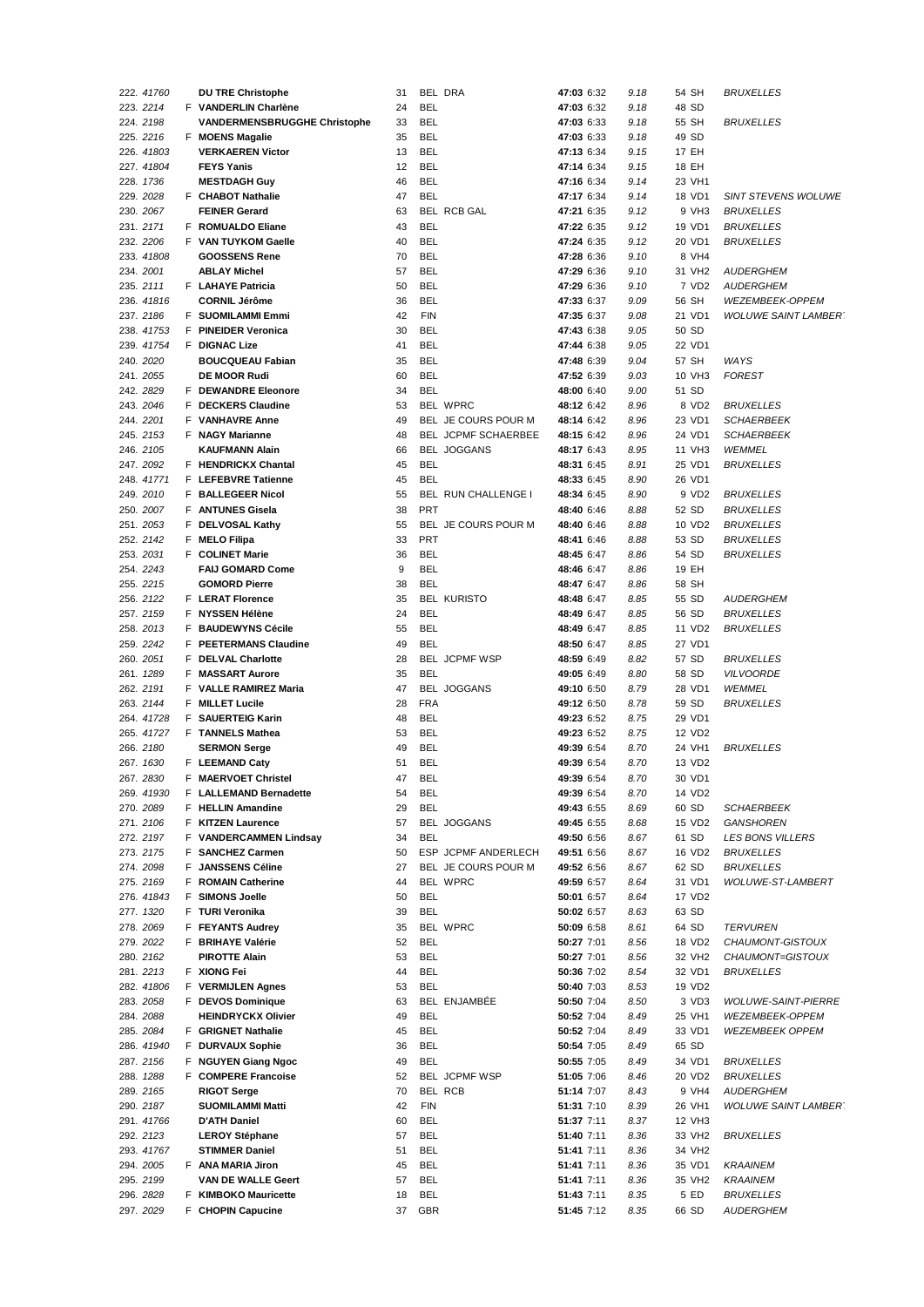| 222. 41760 |    | <b>DU TRE Christophe</b>            | 31 |            | BEL DRA             | 47:03 6:32 | 9.18 | 54 SH              | <b>BRUXELLES</b>           |
|------------|----|-------------------------------------|----|------------|---------------------|------------|------|--------------------|----------------------------|
| 223. 2214  |    | F VANDERLIN Charlène                | 24 | <b>BEL</b> |                     | 47:03 6:32 | 9.18 | 48 SD              |                            |
| 224. 2198  |    | <b>VANDERMENSBRUGGHE Christophe</b> | 33 | <b>BEL</b> |                     | 47:03 6:33 | 9.18 | 55 SH              | <b>BRUXELLES</b>           |
| 225. 2216  |    | F MOENS Magalie                     | 35 | <b>BEL</b> |                     | 47:03 6:33 | 9.18 | 49 SD              |                            |
| 226. 41803 |    | <b>VERKAEREN Victor</b>             | 13 | BEL        |                     | 47:13 6:34 | 9.15 | 17 EH              |                            |
| 227.41804  |    | <b>FEYS Yanis</b>                   | 12 | <b>BEL</b> |                     | 47:14 6:34 | 9.15 |                    |                            |
|            |    |                                     |    |            |                     |            |      | 18 EH              |                            |
| 228. 1736  |    | <b>MESTDAGH Guy</b>                 | 46 | BEL        |                     | 47:16 6:34 | 9.14 | 23 VH1             |                            |
| 229. 2028  |    | F CHABOT Nathalie                   | 47 | <b>BEL</b> |                     | 47:17 6:34 | 9.14 | 18 VD1             | SINT STEVENS WOLUWE        |
| 230. 2067  |    | <b>FEINER Gerard</b>                | 63 |            | BEL RCB GAL         | 47:21 6:35 | 9.12 | 9 VH3              | <b>BRUXELLES</b>           |
| 231. 2171  |    | F ROMUALDO Eliane                   | 43 | <b>BEL</b> |                     | 47:22 6:35 | 9.12 | 19 VD1             | <b>BRUXELLES</b>           |
| 232. 2206  |    | F VAN TUYKOM Gaelle                 | 40 | <b>BEL</b> |                     | 47:24 6:35 | 9.12 | 20 VD1             | <b>BRUXELLES</b>           |
| 233. 41808 |    | <b>GOOSSENS Rene</b>                | 70 | BEL        |                     | 47:28 6:36 | 9.10 | 8 VH4              |                            |
| 234. 2001  |    | <b>ABLAY Michel</b>                 | 57 | <b>BEL</b> |                     | 47:29 6:36 | 9.10 | 31 VH <sub>2</sub> | <b>AUDERGHEM</b>           |
| 235. 2111  |    | F LAHAYE Patricia                   | 50 | BEL        |                     | 47:29 6:36 | 9.10 | 7 VD2              | <b>AUDERGHEM</b>           |
| 236. 41816 |    | <b>CORNIL Jérôme</b>                | 36 | BEL        |                     |            | 9.09 | 56 SH              |                            |
|            |    |                                     |    |            |                     | 47:33 6:37 |      |                    | <i>WEZEMBEEK-OPPEM</i>     |
| 237.2186   |    | F SUOMILAMMI Emmi                   | 42 | <b>FIN</b> |                     | 47:35 6:37 | 9.08 | 21 VD1             | <b>WOLUWE SAINT LAMBER</b> |
| 238. 41753 |    | F PINEIDER Veronica                 | 30 | BEL        |                     | 47:43 6:38 | 9.05 | 50 SD              |                            |
| 239. 41754 |    | F DIGNAC Lize                       | 41 | <b>BEL</b> |                     | 47:44 6:38 | 9.05 | 22 VD1             |                            |
| 240. 2020  |    | <b>BOUCQUEAU Fabian</b>             | 35 | <b>BEL</b> |                     | 47:48 6:39 | 9.04 | 57 SH              | WAYS                       |
| 241. 2055  |    | <b>DE MOOR Rudi</b>                 | 60 | <b>BEL</b> |                     | 47:52 6:39 | 9.03 | 10 VH3             | <b>FOREST</b>              |
| 242. 2829  |    | F DEWANDRE Eleonore                 | 34 | <b>BEL</b> |                     | 48:00 6:40 | 9.00 | 51 SD              |                            |
| 243. 2046  |    | F DECKERS Claudine                  | 53 |            | <b>BEL WPRC</b>     | 48:12 6:42 | 8.96 | 8 VD2              | <b>BRUXELLES</b>           |
| 244. 2201  |    | <b>F</b> VANHAVRE Anne              | 49 |            | BEL JE COURS POUR M |            |      | 23 VD1             |                            |
|            |    |                                     |    |            |                     | 48:14 6:42 | 8.96 |                    | <b>SCHAERBEEK</b>          |
| 245. 2153  |    | F NAGY Marianne                     | 48 |            | BEL JCPMF SCHAERBEE | 48:15 6:42 | 8.96 | 24 VD1             | SCHAERBEEK                 |
| 246. 2105  |    | <b>KAUFMANN Alain</b>               | 66 |            | BEL JOGGANS         | 48:17 6:43 | 8.95 | 11 VH3             | <b>WEMMEL</b>              |
| 247.2092   |    | F HENDRICKX Chantal                 | 45 | <b>BEL</b> |                     | 48:31 6:45 | 8.91 | 25 VD1             | <b>BRUXELLES</b>           |
| 248. 41771 |    | F LEFEBVRE Tatienne                 | 45 | BEL        |                     | 48:33 6:45 | 8.90 | 26 VD1             |                            |
| 249. 2010  |    | F BALLEGEER Nicol                   | 55 |            | BEL RUN CHALLENGE I | 48:34 6:45 | 8.90 | 9 VD2              | <b>BRUXELLES</b>           |
| 250. 2007  |    | <b>F</b> ANTUNES Gisela             | 38 | <b>PRT</b> |                     | 48:40 6:46 | 8.88 | 52 SD              | <b>BRUXELLES</b>           |
| 251. 2053  |    | F DELVOSAL Kathy                    | 55 |            | BEL JE COURS POUR M | 48:40 6:46 | 8.88 | 10 VD <sub>2</sub> | <b>BRUXELLES</b>           |
|            |    |                                     | 33 | <b>PRT</b> |                     |            |      | 53 SD              |                            |
| 252. 2142  |    | F MELO Filipa                       |    |            |                     | 48:41 6:46 | 8.88 |                    | <i>BRUXELLES</i>           |
| 253. 2031  |    | F COLINET Marie                     | 36 | BEL        |                     | 48:45 6:47 | 8.86 | 54 SD              | <i>BRUXELLES</i>           |
| 254. 2243  |    | <b>FAIJ GOMARD Come</b>             | 9  | <b>BEL</b> |                     | 48:46 6:47 | 8.86 | 19 EH              |                            |
| 255. 2215  |    | <b>GOMORD Pierre</b>                | 38 | BEL        |                     | 48:47 6:47 | 8.86 | 58 SH              |                            |
| 256. 2122  |    | F LERAT Florence                    | 35 |            | <b>BEL KURISTO</b>  | 48:48 6:47 | 8.85 | 55 SD              | <b>AUDERGHEM</b>           |
| 257.2159   |    | F NYSSEN Hélène                     | 24 | <b>BEL</b> |                     | 48:49 6:47 | 8.85 | 56 SD              | <b>BRUXELLES</b>           |
| 258. 2013  |    | F BAUDEWYNS Cécile                  | 55 | BEL        |                     | 48:49 6:47 | 8.85 | 11 VD2             | <b>BRUXELLES</b>           |
| 259. 2242  |    | F PEETERMANS Claudine               | 49 | <b>BEL</b> |                     | 48:50 6:47 | 8.85 | 27 VD1             |                            |
| 260. 2051  |    | F DELVAL Charlotte                  | 28 |            | BEL JCPMF WSP       |            |      | 57 SD              |                            |
|            |    |                                     |    |            |                     | 48:59 6:49 | 8.82 |                    | <b>BRUXELLES</b>           |
| 261. 1289  | F. | <b>MASSART Aurore</b>               | 35 | <b>BEL</b> |                     | 49:05 6:49 | 8.80 | 58 SD              | <b>VILVOORDE</b>           |
| 262. 2191  |    | F VALLE RAMIREZ Maria               | 47 |            | BEL JOGGANS         | 49:10 6:50 | 8.79 | 28 VD1             | WEMMEL                     |
| 263. 2144  |    | F MILLET Lucile                     | 28 | <b>FRA</b> |                     | 49:12 6:50 | 8.78 | 59 SD              | <b>BRUXELLES</b>           |
| 264. 41728 |    | <b>F</b> SAUERTEIG Karin            | 48 | <b>BEL</b> |                     | 49:23 6:52 | 8.75 | 29 VD1             |                            |
| 265. 41727 |    | F TANNELS Mathea                    | 53 | BEL        |                     | 49:23 6:52 | 8.75 | 12 VD <sub>2</sub> |                            |
| 266. 2180  |    | <b>SERMON Serge</b>                 | 49 | <b>BEL</b> |                     | 49:39 6:54 | 8.70 | 24 VH1             | <b>BRUXELLES</b>           |
| 267. 1630  |    | F LEEMAND Caty                      | 51 | BEL        |                     | 49:39 6:54 | 8.70 | 13 VD2             |                            |
| 267.2830   |    | F MAERVOET Christel                 | 47 | BEL        |                     | 49:39 6:54 | 8.70 | 30 VD1             |                            |
|            |    |                                     |    |            |                     |            |      |                    |                            |
| 269. 41930 |    | F LALLEMAND Bernadette              | 54 | <b>BEL</b> |                     | 49:39 6:54 | 8.70 | 14 VD2             |                            |
| 270. 2089  |    | F HELLIN Amandine                   | 29 | <b>BEL</b> |                     | 49:43 6:55 | 8.69 | 60 SD              | SCHAERBEEK                 |
| 271.2106   |    | F KITZEN Laurence                   | 57 |            | <b>BEL JOGGANS</b>  | 49:45 6:55 | 8.68 | 15 VD2             | GANSHOREN                  |
| 272. 2197  |    | F VANDERCAMMEN Lindsay              | 34 | <b>BEL</b> |                     | 49:50 6:56 | 8.67 | 61 SD              | <b>LES BONS VILLERS</b>    |
| 273. 2175  |    | F SANCHEZ Carmen                    | 50 |            | ESP JCPMF ANDERLECH | 49:51 6:56 | 8.67 | 16 VD2             | <b>BRUXELLES</b>           |
| 274. 2098  |    | F JANSSENS Céline                   | 27 |            | BEL JE COURS POUR M | 49:52 6:56 | 8.67 | 62 SD              | <b>BRUXELLES</b>           |
| 275. 2169  |    | F ROMAIN Catherine                  | 44 |            | BEL WPRC            | 49:59 6:57 | 8.64 | 31 VD1             | WOLUWE-ST-LAMBERT          |
| 276. 41843 |    | F SIMONS Joelle                     | 50 | <b>BEL</b> |                     | 50:01 6:57 | 8.64 | 17 VD2             |                            |
|            |    |                                     |    |            |                     |            |      |                    |                            |
| 277. 1320  |    | F TURI Veronika                     | 39 | <b>BEL</b> |                     | 50:02 6:57 | 8.63 | 63 SD              |                            |
| 278. 2069  |    | F FEYANTS Audrey                    | 35 |            | BEL WPRC            | 50:09 6:58 | 8.61 | 64 SD              | <b>TERVUREN</b>            |
| 279. 2022  |    | F BRIHAYE Valérie                   | 52 | <b>BEL</b> |                     | 50:27 7:01 | 8.56 | 18 VD2             | CHAUMONT-GISTOUX           |
| 280. 2162  |    | <b>PIROTTE Alain</b>                | 53 | <b>BEL</b> |                     | 50:27 7:01 | 8.56 | 32 VH2             | CHAUMONT=GISTOUX           |
| 281. 2213  |    | F XIONG Fei                         | 44 | <b>BEL</b> |                     | 50:36 7:02 | 8.54 | 32 VD1             | <b>BRUXELLES</b>           |
| 282. 41806 |    | F VERMIJLEN Agnes                   | 53 | <b>BEL</b> |                     | 50:40 7:03 | 8.53 | 19 VD2             |                            |
| 283. 2058  |    | F DEVOS Dominique                   | 63 |            | <b>BEL ENJAMBÉE</b> | 50:50 7:04 | 8.50 | 3 VD3              | <b>WOLUWE-SAINT-PIERRE</b> |
| 284. 2088  |    | <b>HEINDRYCKX Olivier</b>           | 49 | <b>BEL</b> |                     | 50:52 7:04 | 8.49 | 25 VH1             | WEZEMBEEK-OPPEM            |
| 285. 2084  |    | F GRIGNET Nathalie                  | 45 | <b>BEL</b> |                     | 50:52 7:04 | 8.49 | 33 VD1             | <b>WEZEMBEEK OPPEM</b>     |
|            |    |                                     |    |            |                     |            |      |                    |                            |
| 286. 41940 |    | F DURVAUX Sophie                    | 36 | <b>BEL</b> |                     | 50:54 7:05 | 8.49 | 65 SD              |                            |
| 287. 2156  |    | F NGUYEN Giang Ngoc                 | 49 | <b>BEL</b> |                     | 50:55 7:05 | 8.49 | 34 VD1             | <b>BRUXELLES</b>           |
| 288. 1288  |    | F COMPERE Francoise                 | 52 |            | BEL JCPMF WSP       | 51:05 7:06 | 8.46 | 20 VD <sub>2</sub> | <b>BRUXELLES</b>           |
| 289. 2165  |    | <b>RIGOT Serge</b>                  | 70 |            | BEL RCB             | 51:14 7:07 | 8.43 | 9 VH4              | <b>AUDERGHEM</b>           |
| 290. 2187  |    | <b>SUOMILAMMI Matti</b>             | 42 | <b>FIN</b> |                     | 51:31 7:10 | 8.39 | 26 VH1             | <b>WOLUWE SAINT LAMBER</b> |
| 291. 41766 |    | <b>D'ATH Daniel</b>                 | 60 | <b>BEL</b> |                     | 51:37 7:11 | 8.37 | 12 VH3             |                            |
| 292. 2123  |    | <b>LEROY Stéphane</b>               | 57 | <b>BEL</b> |                     | 51:40 7:11 | 8.36 | 33 VH2             | <b>BRUXELLES</b>           |
| 293. 41767 |    | <b>STIMMER Daniel</b>               | 51 | <b>BEL</b> |                     | 51:41 7:11 | 8.36 | 34 VH2             |                            |
|            |    |                                     |    |            |                     |            |      |                    |                            |
| 294. 2005  |    | F ANA MARIA Jiron                   | 45 | <b>BEL</b> |                     | 51:41 7:11 | 8.36 | 35 VD1             | <b>KRAAINEM</b>            |
| 295. 2199  |    | VAN DE WALLE Geert                  | 57 | <b>BEL</b> |                     | 51:41 7:11 | 8.36 | 35 VH2             | <b>KRAAINEM</b>            |
| 296. 2828  |    | F KIMBOKO Mauricette                | 18 | <b>BEL</b> |                     | 51:43 7:11 | 8.35 | 5 ED               | <b>BRUXELLES</b>           |
| 297. 2029  |    | F CHOPIN Capucine                   | 37 | GBR        |                     | 51:45 7:12 | 8.35 | 66 SD              | <b>AUDERGHEM</b>           |